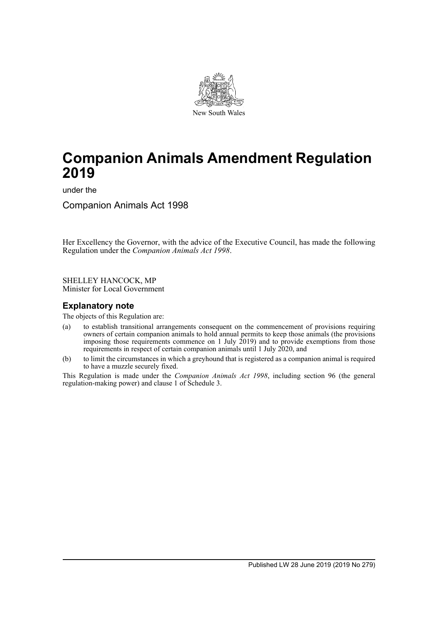

# **Companion Animals Amendment Regulation 2019**

under the

Companion Animals Act 1998

Her Excellency the Governor, with the advice of the Executive Council, has made the following Regulation under the *Companion Animals Act 1998*.

SHELLEY HANCOCK, MP Minister for Local Government

# **Explanatory note**

The objects of this Regulation are:

- (a) to establish transitional arrangements consequent on the commencement of provisions requiring owners of certain companion animals to hold annual permits to keep those animals (the provisions imposing those requirements commence on 1 July 2019) and to provide exemptions from those requirements in respect of certain companion animals until 1 July 2020, and
- (b) to limit the circumstances in which a greyhound that is registered as a companion animal is required to have a muzzle securely fixed.

This Regulation is made under the *Companion Animals Act 1998*, including section 96 (the general regulation-making power) and clause 1 of Schedule 3.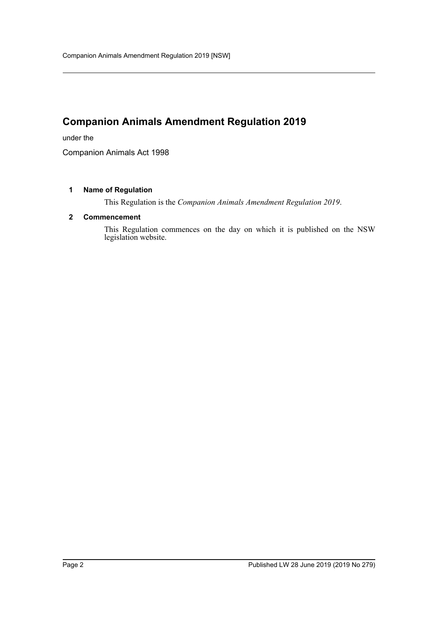# **Companion Animals Amendment Regulation 2019**

under the

Companion Animals Act 1998

#### **1 Name of Regulation**

This Regulation is the *Companion Animals Amendment Regulation 2019*.

#### **2 Commencement**

This Regulation commences on the day on which it is published on the NSW legislation website.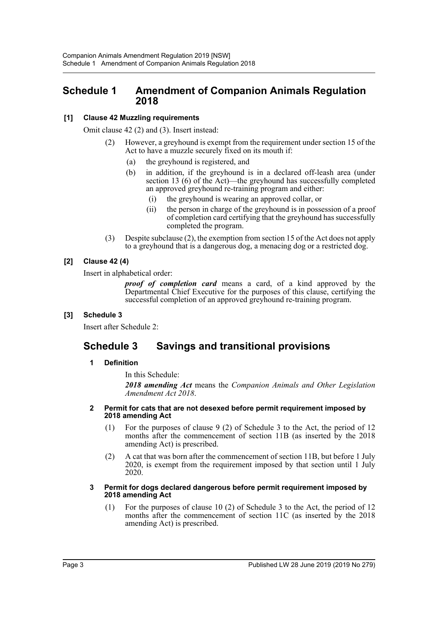# **Schedule 1 Amendment of Companion Animals Regulation 2018**

### **[1] Clause 42 Muzzling requirements**

Omit clause 42 (2) and (3). Insert instead:

- (2) However, a greyhound is exempt from the requirement under section 15 of the Act to have a muzzle securely fixed on its mouth if:
	- (a) the greyhound is registered, and
	- (b) in addition, if the greyhound is in a declared off-leash area (under section 13 (6) of the Act)—the greyhound has successfully completed an approved greyhound re-training program and either:
		- (i) the greyhound is wearing an approved collar, or
		- (ii) the person in charge of the greyhound is in possession of a proof of completion card certifying that the greyhound has successfully completed the program.
- (3) Despite subclause (2), the exemption from section 15 of the Act does not apply to a greyhound that is a dangerous dog, a menacing dog or a restricted dog.

## **[2] Clause 42 (4)**

Insert in alphabetical order:

*proof of completion card* means a card, of a kind approved by the Departmental Chief Executive for the purposes of this clause, certifying the successful completion of an approved greyhound re-training program.

### **[3] Schedule 3**

Insert after Schedule 2:

# **Schedule 3 Savings and transitional provisions**

### **1 Definition**

In this Schedule:

*2018 amending Act* means the *Companion Animals and Other Legislation Amendment Act 2018*.

#### **2 Permit for cats that are not desexed before permit requirement imposed by 2018 amending Act**

- (1) For the purposes of clause 9 (2) of Schedule 3 to the Act, the period of 12 months after the commencement of section 11B (as inserted by the 2018 amending Act) is prescribed.
- (2) A cat that was born after the commencement of section 11B, but before 1 July 2020, is exempt from the requirement imposed by that section until 1 July 2020.

#### **3 Permit for dogs declared dangerous before permit requirement imposed by 2018 amending Act**

(1) For the purposes of clause 10 (2) of Schedule 3 to the Act, the period of 12 months after the commencement of section 11C (as inserted by the 2018 amending Act) is prescribed.